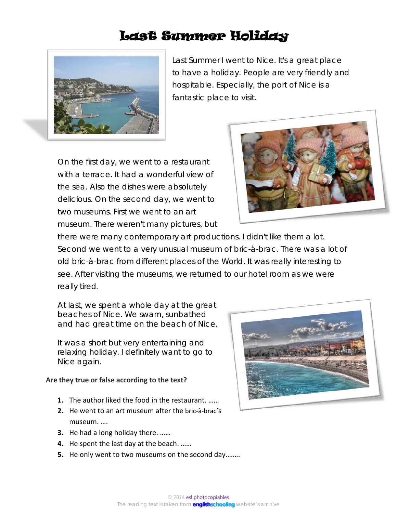## Last Summer Holiday



Last Summer I went to Nice. It's a great place to have a holiday. People are very friendly and hospitable. Especially, the port of Nice is a fantastic place to visit.

On the first day, we went to a restaurant with a terrace. It had a wonderful view of the sea. Also the dishes were absolutely delicious. On the second day, we went to two museums. First we went to an art museum. There weren't many pictures, but



there were many contemporary art productions. I didn't like them a lot. Second we went to a very unusual museum of bric-à-brac. There was a lot of old bric-à-brac from different places of the World. It was really interesting to see. After visiting the museums, we returned to our hotel room as we were really tired.

At last, we spent a whole day at the great beaches of Nice. We swam, sunbathed and had great time on the beach of Nice.

It was a short but very entertaining and relaxing holiday. I definitely want to go to Nice again.

## **Are they true or false according to the text?**

- **1.** The author liked the food in the restaurant. ……
- **2.** He went to an art museum after the bric-à-brac's museum. ….
- **3.** He had a long holiday there. ……
- **4.** He spent the last day at the beach. ……
- **5.** He only went to two museums on the second day.…….